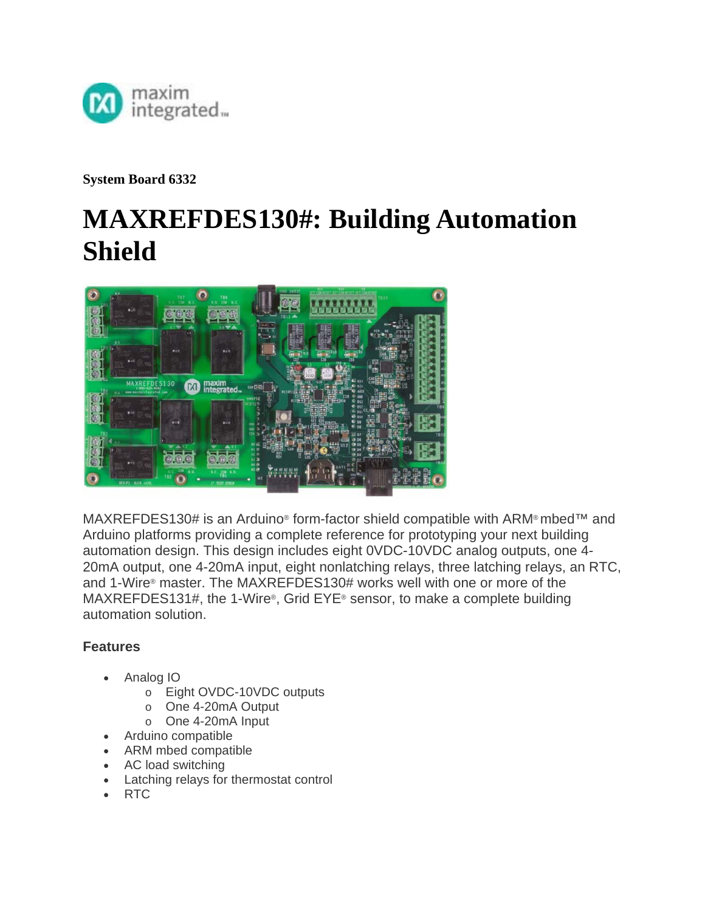

**System Board 6332** 

# **MAXREFDES130#: Building Automation Shield**



MAXREFDES130# is an Arduino® form-factor shield compatible with ARM® mbed™ and Arduino platforms providing a complete reference for prototyping your next building automation design. This design includes eight 0VDC-10VDC analog outputs, one 4- 20mA output, one 4-20mA input, eight nonlatching relays, three latching relays, an RTC, and 1-Wire® master. The MAXREFDES130# works well with one or more of the MAXREFDES131#, the 1-Wire®, Grid EYE® sensor, to make a complete building automation solution.

## **Features**

- Analog IO
	- o Eight OVDC-10VDC outputs
	- o One 4-20mA Output
	- o One 4-20mA Input
- Arduino compatible
- ARM mbed compatible
- AC load switching
- Latching relays for thermostat control
- RTC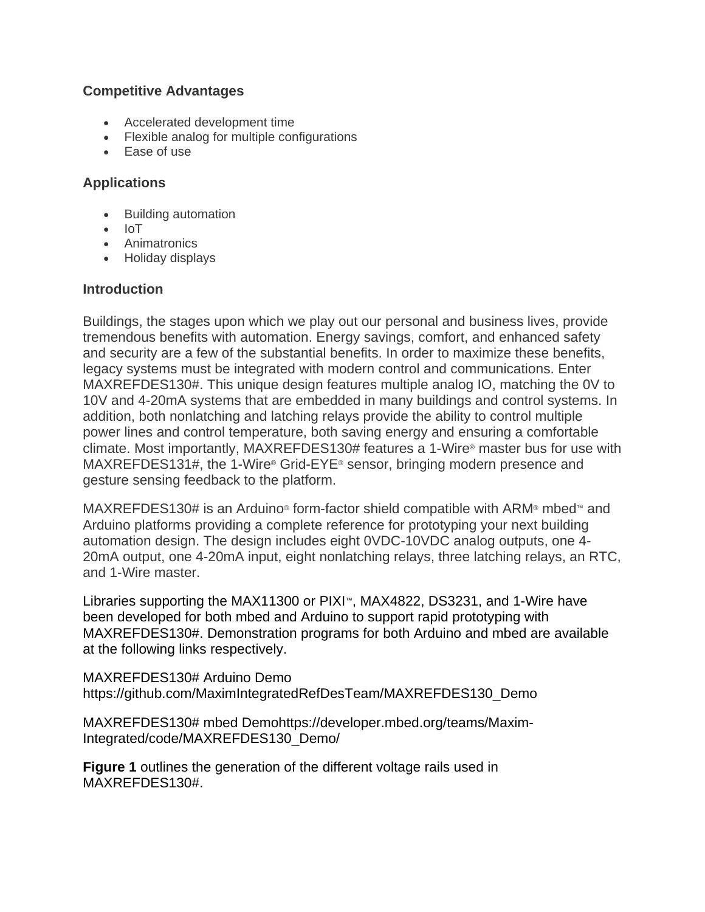## **Competitive Advantages**

- Accelerated development time
- Flexible analog for multiple configurations
- Ease of use

### **Applications**

- Building automation
- $\bullet$  IoT
- Animatronics
- Holiday displays

#### **Introduction**

Buildings, the stages upon which we play out our personal and business lives, provide tremendous benefits with automation. Energy savings, comfort, and enhanced safety and security are a few of the substantial benefits. In order to maximize these benefits, legacy systems must be integrated with modern control and communications. Enter MAXREFDES130#. This unique design features multiple analog IO, matching the 0V to 10V and 4-20mA systems that are embedded in many buildings and control systems. In addition, both nonlatching and latching relays provide the ability to control multiple power lines and control temperature, both saving energy and ensuring a comfortable climate. Most importantly, MAXREFDES130# features a 1-Wire® master bus for use with MAXREFDES131#, the 1-Wire® Grid-EYE® sensor, bringing modern presence and gesture sensing feedback to the platform.

MAXREFDES130# is an Arduino® form-factor shield compatible with ARM® mbed™ and Arduino platforms providing a complete reference for prototyping your next building automation design. The design includes eight 0VDC-10VDC analog outputs, one 4- 20mA output, one 4-20mA input, eight nonlatching relays, three latching relays, an RTC, and 1-Wire master.

Libraries supporting the MAX11300 or PIXI™, MAX4822, DS3231, and 1-Wire have been developed for both mbed and Arduino to support rapid prototyping with MAXREFDES130#. Demonstration programs for both Arduino and mbed are available at the following links respectively.

MAXREFDES130# Arduino Demo https://github.com/MaximIntegratedRefDesTeam/MAXREFDES130\_Demo

MAXREFDES130# mbed Demohttps://developer.mbed.org/teams/Maxim-Integrated/code/MAXREFDES130\_Demo/

**Figure 1** outlines the generation of the different voltage rails used in MAXREFDES130#.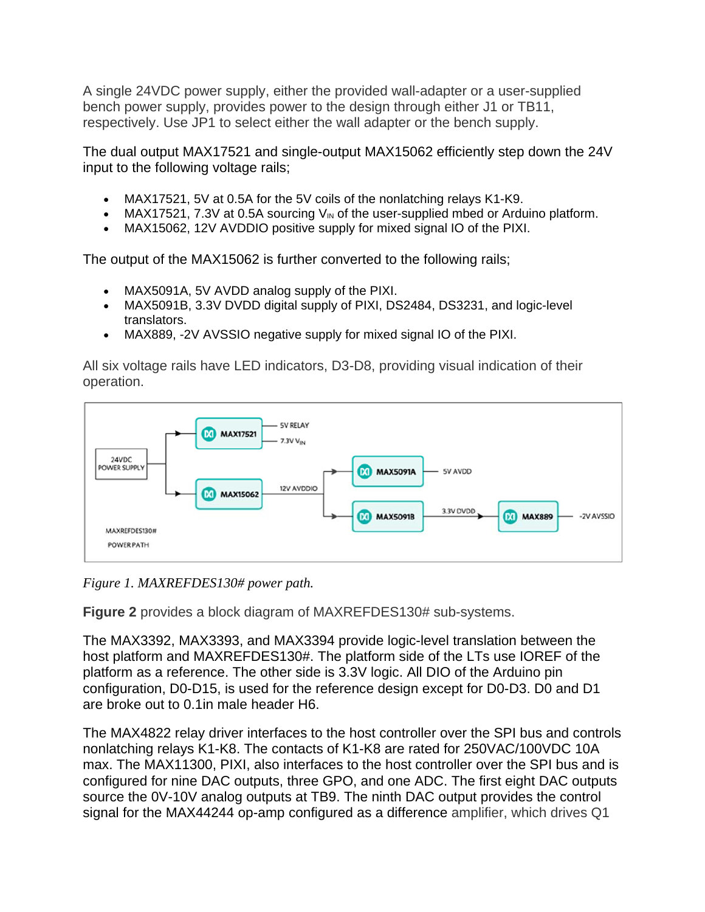A single 24VDC power supply, either the provided wall-adapter or a user-supplied bench power supply, provides power to the design through either J1 or TB11, respectively. Use JP1 to select either the wall adapter or the bench supply.

The dual output MAX17521 and single-output MAX15062 efficiently step down the 24V input to the following voltage rails;

- MAX17521, 5V at 0.5A for the 5V coils of the nonlatching relays K1-K9.
- MAX17521, 7.3V at 0.5A sourcing  $V_{\text{IN}}$  of the user-supplied mbed or Arduino platform.
- MAX15062, 12V AVDDIO positive supply for mixed signal IO of the PIXI.

The output of the MAX15062 is further converted to the following rails;

- MAX5091A, 5V AVDD analog supply of the PIXI.
- MAX5091B, 3.3V DVDD digital supply of PIXI, DS2484, DS3231, and logic-level translators.
- MAX889, -2V AVSSIO negative supply for mixed signal IO of the PIXI.

All six voltage rails have LED indicators, D3-D8, providing visual indication of their operation.



*Figure 1. MAXREFDES130# power path.*

**Figure 2** provides a block diagram of MAXREFDES130# sub-systems.

The MAX3392, MAX3393, and MAX3394 provide logic-level translation between the host platform and MAXREFDES130#. The platform side of the LTs use IOREF of the platform as a reference. The other side is 3.3V logic. All DIO of the Arduino pin configuration, D0-D15, is used for the reference design except for D0-D3. D0 and D1 are broke out to 0.1in male header H6.

The MAX4822 relay driver interfaces to the host controller over the SPI bus and controls nonlatching relays K1-K8. The contacts of K1-K8 are rated for 250VAC/100VDC 10A max. The MAX11300, PIXI, also interfaces to the host controller over the SPI bus and is configured for nine DAC outputs, three GPO, and one ADC. The first eight DAC outputs source the 0V-10V analog outputs at TB9. The ninth DAC output provides the control signal for the MAX44244 op-amp configured as a difference amplifier, which drives Q1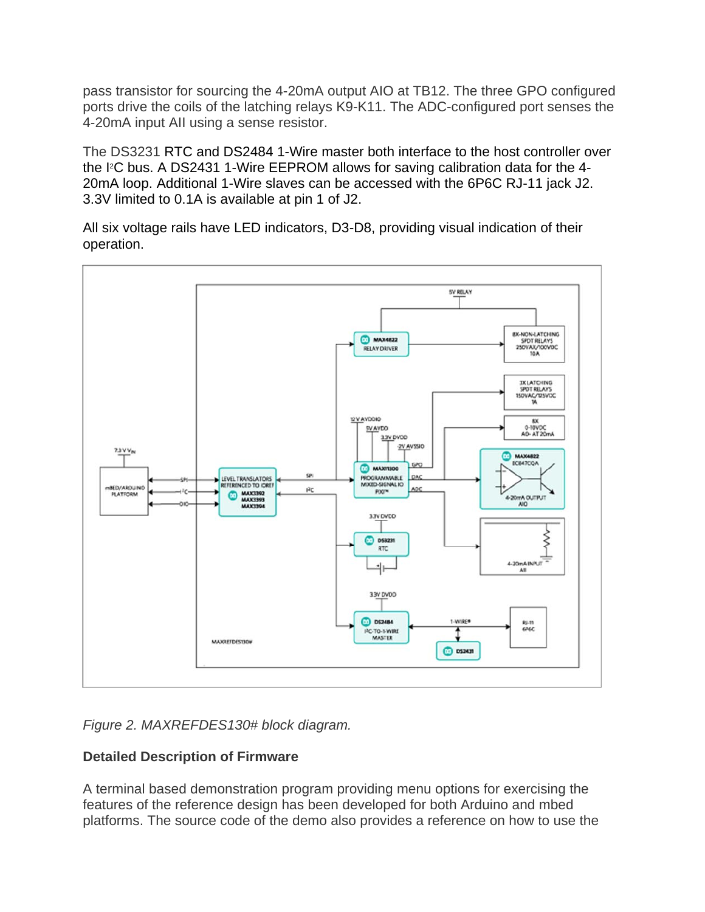pass transistor for sourcing the 4-20mA output AIO at TB12. The three GPO configured ports drive the coils of the latching relays K9-K11. The ADC-configured port senses the 4-20mA input AII using a sense resistor.

The DS3231 RTC and DS2484 1-Wire master both interface to the host controller over the I2C bus. A DS2431 1-Wire EEPROM allows for saving calibration data for the 4- 20mA loop. Additional 1-Wire slaves can be accessed with the 6P6C RJ-11 jack J2. 3.3V limited to 0.1A is available at pin 1 of J2.

All six voltage rails have LED indicators, D3-D8, providing visual indication of their operation.



*Figure 2. MAXREFDES130# block diagram.*

# **Detailed Description of Firmware**

A terminal based demonstration program providing menu options for exercising the features of the reference design has been developed for both Arduino and mbed platforms. The source code of the demo also provides a reference on how to use the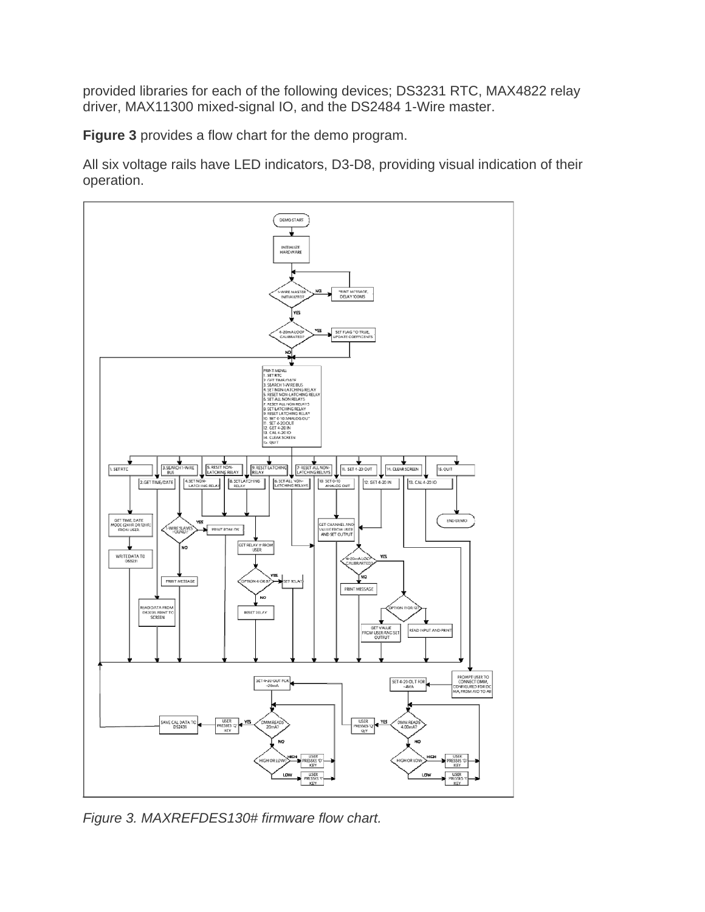provided libraries for each of the following devices; DS3231 RTC, MAX4822 relay driver, MAX11300 mixed-signal IO, and the DS2484 1-Wire master.

**Figure 3** provides a flow chart for the demo program.

All six voltage rails have LED indicators, D3-D8, providing visual indication of their operation.



*Figure 3. MAXREFDES130# firmware flow chart.*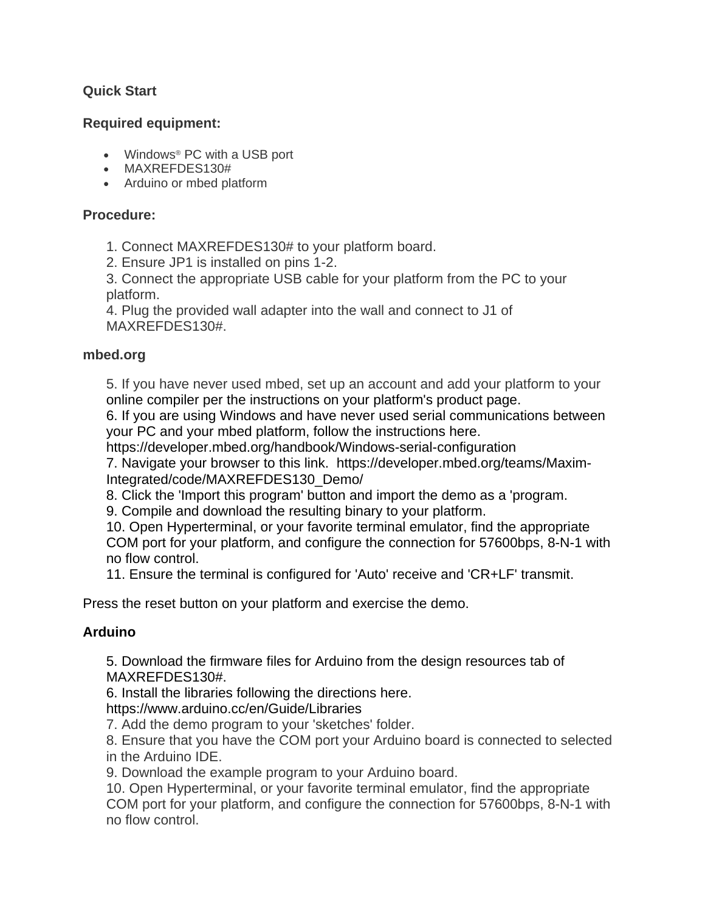## **Quick Start**

#### **Required equipment:**

- Windows® PC with a USB port
- MAXREFDES130#
- Arduino or mbed platform

### **Procedure:**

- 1. Connect MAXREFDES130# to your platform board.
- 2. Ensure JP1 is installed on pins 1-2.

3. Connect the appropriate USB cable for your platform from the PC to your platform.

4. Plug the provided wall adapter into the wall and connect to J1 of MAXREFDES130#.

#### **mbed.org**

5. If you have never used mbed, set up an account and add your platform to your online compiler per the instructions on your platform's product page.

6. If you are using Windows and have never used serial communications between your PC and your mbed platform, follow the instructions here.

https://developer.mbed.org/handbook/Windows-serial-configuration

7. Navigate your browser to this link. https://developer.mbed.org/teams/Maxim-Integrated/code/MAXREFDES130\_Demo/

8. Click the 'Import this program' button and import the demo as a 'program.

9. Compile and download the resulting binary to your platform.

10. Open Hyperterminal, or your favorite terminal emulator, find the appropriate COM port for your platform, and configure the connection for 57600bps, 8-N-1 with no flow control.

11. Ensure the terminal is configured for 'Auto' receive and 'CR+LF' transmit.

Press the reset button on your platform and exercise the demo.

## **Arduino**

5. Download the firmware files for Arduino from the design resources tab of MAXREFDES130#.

6. Install the libraries following the directions here.

https://www.arduino.cc/en/Guide/Libraries

7. Add the demo program to your 'sketches' folder.

8. Ensure that you have the COM port your Arduino board is connected to selected in the Arduino IDE.

9. Download the example program to your Arduino board.

10. Open Hyperterminal, or your favorite terminal emulator, find the appropriate COM port for your platform, and configure the connection for 57600bps, 8-N-1 with no flow control.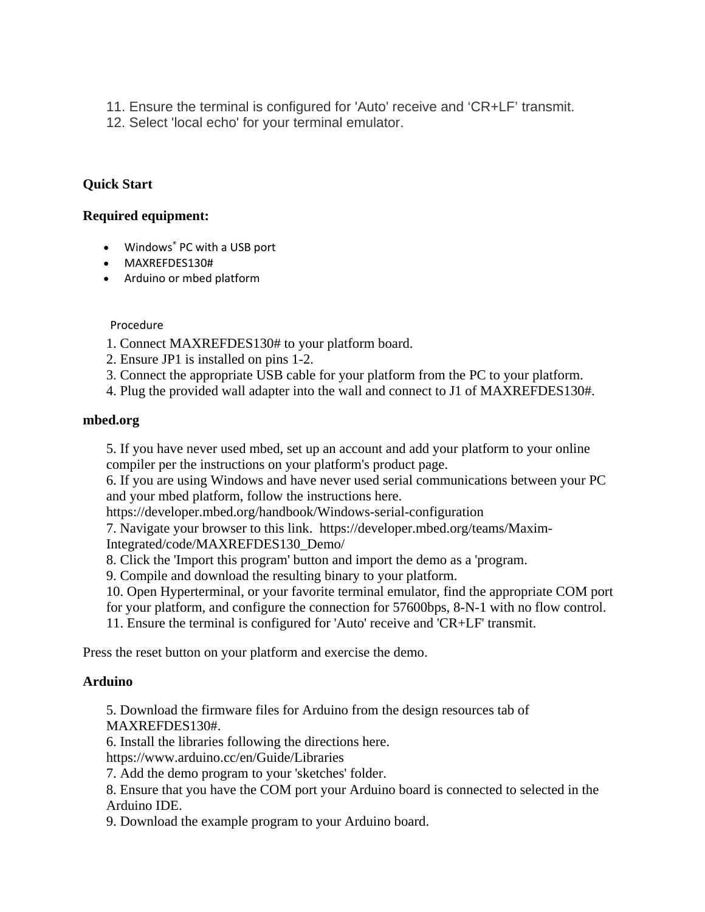- 11. Ensure the terminal is configured for 'Auto' receive and 'CR+LF' transmit.
- 12. Select 'local echo' for your terminal emulator.

## **Quick Start**

#### **Required equipment:**

- Windows<sup>®</sup> PC with a USB port
- MAXREFDES130#
- Arduino or mbed platform

#### Procedure

- 1. Connect MAXREFDES130# to your platform board.
- 2. Ensure JP1 is installed on pins 1-2.
- 3. Connect the appropriate USB cable for your platform from the PC to your platform.
- 4. Plug the provided wall adapter into the wall and connect to J1 of MAXREFDES130#.

#### **mbed.org**

5. If you have never used mbed, set up an account and add your platform to your online compiler per the instructions on your platform's product page.

6. If you are using Windows and have never used serial communications between your PC and your mbed platform, follow the instructions here.

https://developer.mbed.org/handbook/Windows-serial-configuration

7. Navigate your browser to this link. https://developer.mbed.org/teams/Maxim-Integrated/code/MAXREFDES130\_Demo/

8. Click the 'Import this program' button and import the demo as a 'program.

9. Compile and download the resulting binary to your platform.

10. Open Hyperterminal, or your favorite terminal emulator, find the appropriate COM port

for your platform, and configure the connection for 57600bps, 8-N-1 with no flow control.

11. Ensure the terminal is configured for 'Auto' receive and 'CR+LF' transmit.

Press the reset button on your platform and exercise the demo.

#### **Arduino**

5. Download the firmware files for Arduino from the design resources tab of MAXREFDES130#.

6. Install the libraries following the directions here.

https://www.arduino.cc/en/Guide/Libraries

7. Add the demo program to your 'sketches' folder.

8. Ensure that you have the COM port your Arduino board is connected to selected in the Arduino IDE.

9. Download the example program to your Arduino board.